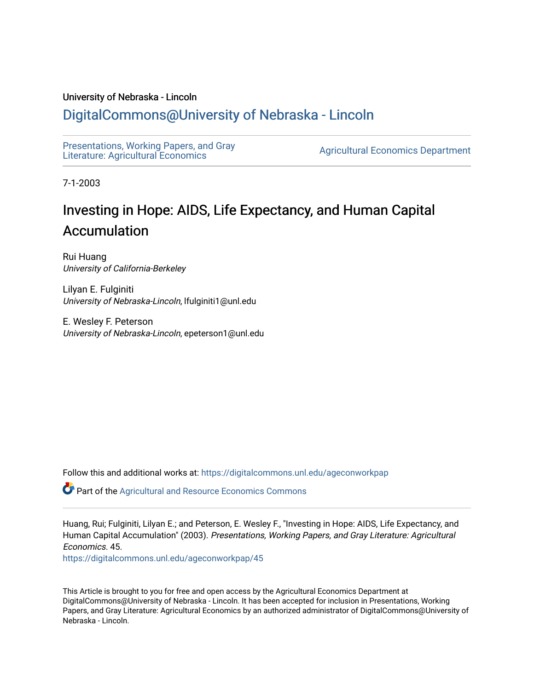# University of Nebraska - Lincoln

# [DigitalCommons@University of Nebraska - Lincoln](https://digitalcommons.unl.edu/)

[Presentations, Working Papers, and Gray](https://digitalcommons.unl.edu/ageconworkpap)  Presentations, working Papers, and Gray<br>Literature: Agricultural Economics

7-1-2003

# Investing in Hope: AIDS, Life Expectancy, and Human Capital Accumulation

Rui Huang University of California-Berkeley

Lilyan E. Fulginiti University of Nebraska-Lincoln, lfulginiti1@unl.edu

E. Wesley F. Peterson University of Nebraska-Lincoln, epeterson1@unl.edu

Follow this and additional works at: [https://digitalcommons.unl.edu/ageconworkpap](https://digitalcommons.unl.edu/ageconworkpap?utm_source=digitalcommons.unl.edu%2Fageconworkpap%2F45&utm_medium=PDF&utm_campaign=PDFCoverPages) 

Part of the [Agricultural and Resource Economics Commons](http://network.bepress.com/hgg/discipline/317?utm_source=digitalcommons.unl.edu%2Fageconworkpap%2F45&utm_medium=PDF&utm_campaign=PDFCoverPages) 

Huang, Rui; Fulginiti, Lilyan E.; and Peterson, E. Wesley F., "Investing in Hope: AIDS, Life Expectancy, and Human Capital Accumulation" (2003). Presentations, Working Papers, and Gray Literature: Agricultural Economics. 45.

[https://digitalcommons.unl.edu/ageconworkpap/45](https://digitalcommons.unl.edu/ageconworkpap/45?utm_source=digitalcommons.unl.edu%2Fageconworkpap%2F45&utm_medium=PDF&utm_campaign=PDFCoverPages)

This Article is brought to you for free and open access by the Agricultural Economics Department at DigitalCommons@University of Nebraska - Lincoln. It has been accepted for inclusion in Presentations, Working Papers, and Gray Literature: Agricultural Economics by an authorized administrator of DigitalCommons@University of Nebraska - Lincoln.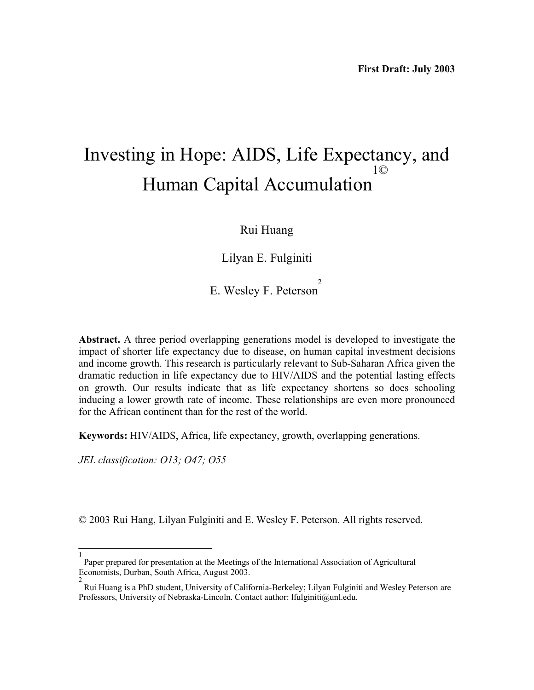# Investing in Hope: AIDS, Life Expectancy, and Human Capital Accumulation 1©

# Rui Huang

Lilyan E. Fulginiti

E. Wesley F. Peterson<sup>2</sup>

**Abstract.** A three period overlapping generations model is developed to investigate the impact of shorter life expectancy due to disease, on human capital investment decisions and income growth. This research is particularly relevant to Sub-Saharan Africa given the dramatic reduction in life expectancy due to HIV/AIDS and the potential lasting effects on growth. Our results indicate that as life expectancy shortens so does schooling inducing a lower growth rate of income. These relationships are even more pronounced for the African continent than for the rest of the world.

**Keywords:** HIV/AIDS, Africa, life expectancy, growth, overlapping generations.

*JEL classification: O13; O47; O55* 

© 2003 Rui Hang, Lilyan Fulginiti and E. Wesley F. Peterson. All rights reserved.

<sup>1</sup> Paper prepared for presentation at the Meetings of the International Association of Agricultural Economists, Durban, South Africa, August 2003.

<sup>2</sup> Rui Huang is a PhD student, University of California-Berkeley; Lilyan Fulginiti and Wesley Peterson are Professors, University of Nebraska-Lincoln. Contact author: lfulginiti@unl.edu.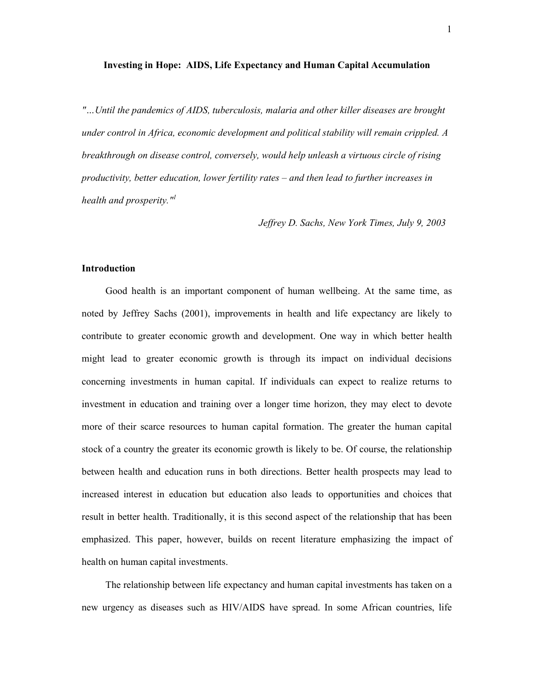#### **Investing in Hope: AIDS, Life Expectancy and Human Capital Accumulation**

*"Until the pandemics of AIDS, tuberculosis, malaria and other killer diseases are brought under control in Africa, economic development and political stability will remain crippled. A breakthrough on disease control, conversely, would help unleash a virtuous circle of rising productivity, better education, lower fertility rates and then lead to further increases in health and prosperity.*"

 *Jeffrey D. Sachs, New York Times, July 9, 2003* 

### **Introduction**

Good health is an important component of human wellbeing. At the same time, as noted by Jeffrey Sachs (2001), improvements in health and life expectancy are likely to contribute to greater economic growth and development. One way in which better health might lead to greater economic growth is through its impact on individual decisions concerning investments in human capital. If individuals can expect to realize returns to investment in education and training over a longer time horizon, they may elect to devote more of their scarce resources to human capital formation. The greater the human capital stock of a country the greater its economic growth is likely to be. Of course, the relationship between health and education runs in both directions. Better health prospects may lead to increased interest in education but education also leads to opportunities and choices that result in better health. Traditionally, it is this second aspect of the relationship that has been emphasized. This paper, however, builds on recent literature emphasizing the impact of health on human capital investments.

The relationship between life expectancy and human capital investments has taken on a new urgency as diseases such as HIV/AIDS have spread. In some African countries, life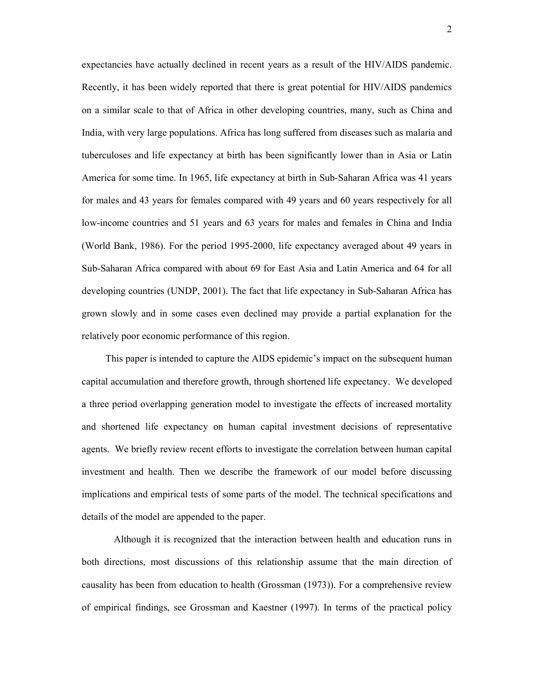expectancies have actually declined in recent years as a result of the HIV/AIDS pandemic. Recently, it has been widely reported that there is great potential for HIV/AIDS pandemics on a similar scale to that of Africa in other developing countries, many, such as China and India, with very large populations. Africa has long suffered from diseases such as malaria and tuberculoses and life expectancy at birth has been significantly lower than in Asia or Latin America for some time. In 1965, life expectancy at birth in Sub-Saharan Africa was 41 years for males and 43 years for females compared with 49 years and 60 years respectively for all low-income countries and 51 years and 63 years for males and females in China and India (World Bank, 1986). For the period 1995-2000, life expectancy averaged about 49 years in Sub-Saharan Africa compared with about 69 for East Asia and Latin America and 64 for all developing countries (UNDP, 2001). The fact that life expectancy in Sub-Saharan Africa has grown slowly and in some cases even declined may provide a partial explanation for the relatively poor economic performance of this region.

This paper is intended to capture the AIDS epidemic's impact on the subsequent human capital accumulation and therefore growth, through shortened life expectancy. We developed a three period overlapping generation model to investigate the effects of increased mortality and shortened life expectancy on human capital investment decisions of representative agents. We briefly review recent efforts to investigate the correlation between human capital investment and health. Then we describe the framework of our model before discussing implications and empirical tests of some parts of the model. The technical specifications and details of the model are appended to the paper.

 Although it is recognized that the interaction between health and education runs in both directions, most discussions of this relationship assume that the main direction of causality has been from education to health (Grossman (1973)). For a comprehensive review of empirical findings, see Grossman and Kaestner (1997). In terms of the practical policy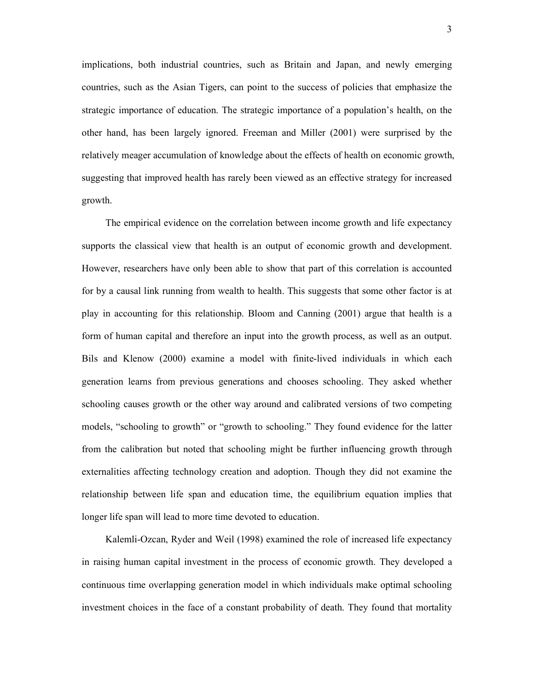implications, both industrial countries, such as Britain and Japan, and newly emerging countries, such as the Asian Tigers, can point to the success of policies that emphasize the strategic importance of education. The strategic importance of a population's health, on the other hand, has been largely ignored. Freeman and Miller (2001) were surprised by the relatively meager accumulation of knowledge about the effects of health on economic growth, suggesting that improved health has rarely been viewed as an effective strategy for increased growth.

The empirical evidence on the correlation between income growth and life expectancy supports the classical view that health is an output of economic growth and development. However, researchers have only been able to show that part of this correlation is accounted for by a causal link running from wealth to health. This suggests that some other factor is at play in accounting for this relationship. Bloom and Canning (2001) argue that health is a form of human capital and therefore an input into the growth process, as well as an output. Bils and Klenow (2000) examine a model with finite-lived individuals in which each generation learns from previous generations and chooses schooling. They asked whether schooling causes growth or the other way around and calibrated versions of two competing models, "schooling to growth" or "growth to schooling." They found evidence for the latter from the calibration but noted that schooling might be further influencing growth through externalities affecting technology creation and adoption. Though they did not examine the relationship between life span and education time, the equilibrium equation implies that longer life span will lead to more time devoted to education.

Kalemli-Ozcan, Ryder and Weil (1998) examined the role of increased life expectancy in raising human capital investment in the process of economic growth. They developed a continuous time overlapping generation model in which individuals make optimal schooling investment choices in the face of a constant probability of death. They found that mortality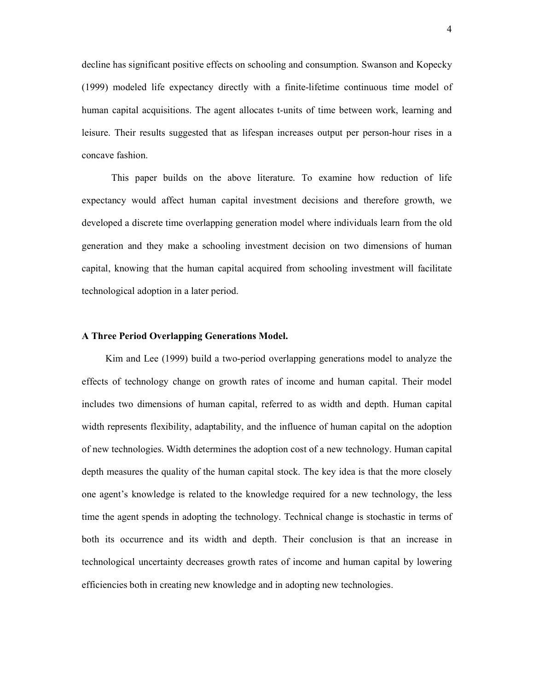decline has significant positive effects on schooling and consumption. Swanson and Kopecky (1999) modeled life expectancy directly with a finite-lifetime continuous time model of human capital acquisitions. The agent allocates t-units of time between work, learning and leisure. Their results suggested that as lifespan increases output per person-hour rises in a concave fashion.

This paper builds on the above literature. To examine how reduction of life expectancy would affect human capital investment decisions and therefore growth, we developed a discrete time overlapping generation model where individuals learn from the old generation and they make a schooling investment decision on two dimensions of human capital, knowing that the human capital acquired from schooling investment will facilitate technological adoption in a later period.

## **A Three Period Overlapping Generations Model.**

Kim and Lee (1999) build a two-period overlapping generations model to analyze the effects of technology change on growth rates of income and human capital. Their model includes two dimensions of human capital, referred to as width and depth. Human capital width represents flexibility, adaptability, and the influence of human capital on the adoption of new technologies. Width determines the adoption cost of a new technology. Human capital depth measures the quality of the human capital stock. The key idea is that the more closely one agent's knowledge is related to the knowledge required for a new technology, the less time the agent spends in adopting the technology. Technical change is stochastic in terms of both its occurrence and its width and depth. Their conclusion is that an increase in technological uncertainty decreases growth rates of income and human capital by lowering efficiencies both in creating new knowledge and in adopting new technologies.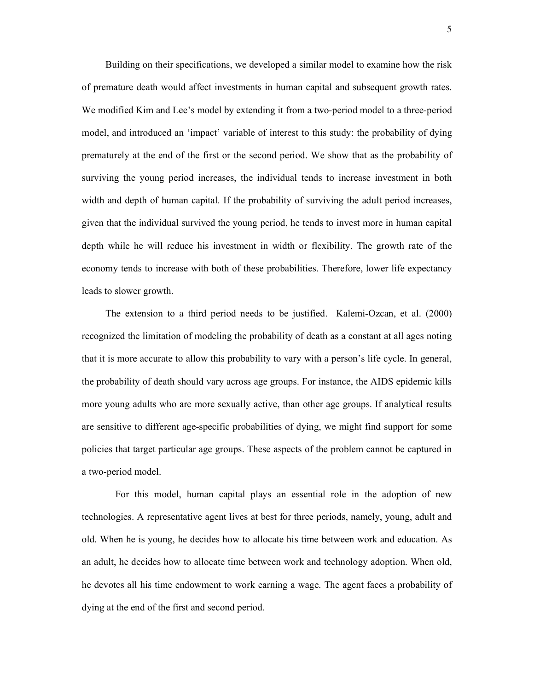Building on their specifications, we developed a similar model to examine how the risk of premature death would affect investments in human capital and subsequent growth rates. We modified Kim and Lee's model by extending it from a two-period model to a three-period model, and introduced an 'impact' variable of interest to this study: the probability of dying prematurely at the end of the first or the second period. We show that as the probability of surviving the young period increases, the individual tends to increase investment in both width and depth of human capital. If the probability of surviving the adult period increases, given that the individual survived the young period, he tends to invest more in human capital depth while he will reduce his investment in width or flexibility. The growth rate of the economy tends to increase with both of these probabilities. Therefore, lower life expectancy leads to slower growth.

The extension to a third period needs to be justified. Kalemi-Ozcan, et al. (2000) recognized the limitation of modeling the probability of death as a constant at all ages noting that it is more accurate to allow this probability to vary with a person's life cycle. In general, the probability of death should vary across age groups. For instance, the AIDS epidemic kills more young adults who are more sexually active, than other age groups. If analytical results are sensitive to different age-specific probabilities of dying, we might find support for some policies that target particular age groups. These aspects of the problem cannot be captured in a two-period model.

 For this model, human capital plays an essential role in the adoption of new technologies. A representative agent lives at best for three periods, namely, young, adult and old. When he is young, he decides how to allocate his time between work and education. As an adult, he decides how to allocate time between work and technology adoption. When old, he devotes all his time endowment to work earning a wage. The agent faces a probability of dying at the end of the first and second period.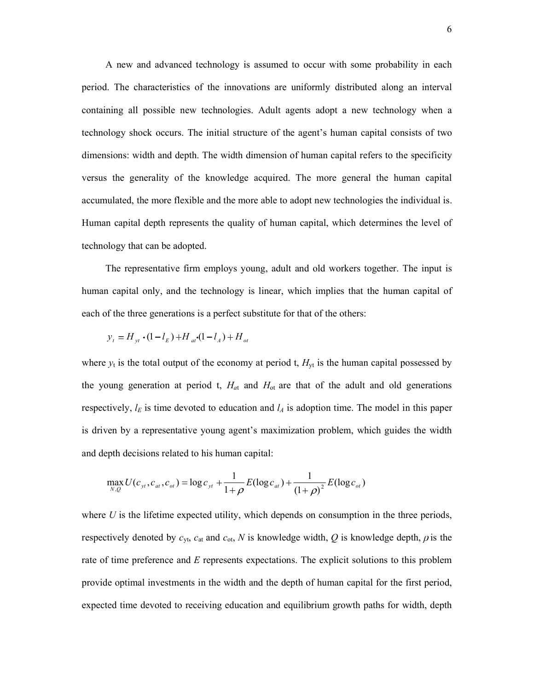A new and advanced technology is assumed to occur with some probability in each period. The characteristics of the innovations are uniformly distributed along an interval containing all possible new technologies. Adult agents adopt a new technology when a technology shock occurs. The initial structure of the agent's human capital consists of two dimensions: width and depth. The width dimension of human capital refers to the specificity versus the generality of the knowledge acquired. The more general the human capital accumulated, the more flexible and the more able to adopt new technologies the individual is. Human capital depth represents the quality of human capital, which determines the level of technology that can be adopted.

The representative firm employs young, adult and old workers together. The input is human capital only, and the technology is linear, which implies that the human capital of each of the three generations is a perfect substitute for that of the others:

$$
y_t = H_{yt} \cdot (1 - l_E) + H_{at} \cdot (1 - l_A) + H_{ot}
$$

where  $y_t$  is the total output of the economy at period t,  $H_{yt}$  is the human capital possessed by the young generation at period t,  $H_{at}$  and  $H_{ot}$  are that of the adult and old generations respectively,  $l_E$  is time devoted to education and  $l_A$  is adoption time. The model in this paper is driven by a representative young agent's maximization problem, which guides the width and depth decisions related to his human capital:

$$
\max_{N,Q} U(c_{\mathit{yt}}, c_{\mathit{at}}, c_{\mathit{ot}}) = \log c_{\mathit{yt}} + \frac{1}{1+\rho} E(\log c_{\mathit{at}}) + \frac{1}{(1+\rho)^2} E(\log c_{\mathit{ot}})
$$

where  $U$  is the lifetime expected utility, which depends on consumption in the three periods, respectively denoted by  $c_{yt}$ ,  $c_{at}$  and  $c_{ot}$ ,  $N$  is knowledge width,  $Q$  is knowledge depth,  $\rho$  is the rate of time preference and *E* represents expectations. The explicit solutions to this problem provide optimal investments in the width and the depth of human capital for the first period, expected time devoted to receiving education and equilibrium growth paths for width, depth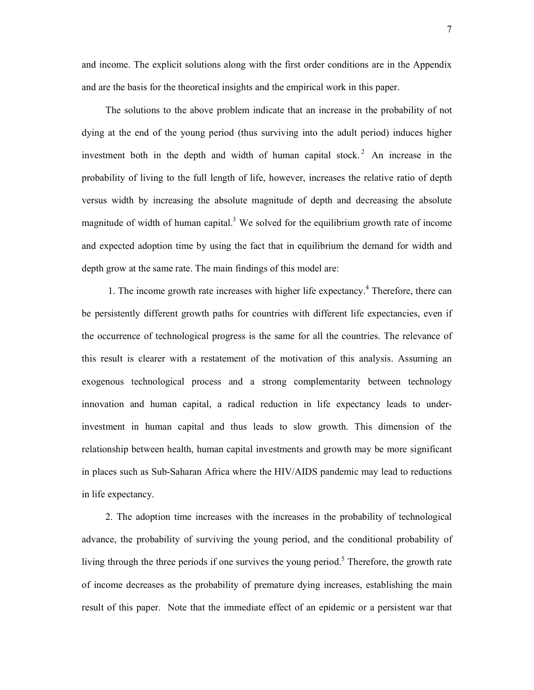and income. The explicit solutions along with the first order conditions are in the Appendix and are the basis for the theoretical insights and the empirical work in this paper.

The solutions to the above problem indicate that an increase in the probability of not dying at the end of the young period (thus surviving into the adult period) induces higher investment both in the depth and width of human capital stock.<sup>2</sup> An increase in the probability of living to the full length of life, however, increases the relative ratio of depth versus width by increasing the absolute magnitude of depth and decreasing the absolute magnitude of width of human capital.<sup>3</sup> We solved for the equilibrium growth rate of income and expected adoption time by using the fact that in equilibrium the demand for width and depth grow at the same rate. The main findings of this model are:

1. The income growth rate increases with higher life expectancy.<sup>4</sup> Therefore, there can be persistently different growth paths for countries with different life expectancies, even if the occurrence of technological progress is the same for all the countries. The relevance of this result is clearer with a restatement of the motivation of this analysis. Assuming an exogenous technological process and a strong complementarity between technology innovation and human capital, a radical reduction in life expectancy leads to underinvestment in human capital and thus leads to slow growth. This dimension of the relationship between health, human capital investments and growth may be more significant in places such as Sub-Saharan Africa where the HIV/AIDS pandemic may lead to reductions in life expectancy.

2. The adoption time increases with the increases in the probability of technological advance, the probability of surviving the young period, and the conditional probability of living through the three periods if one survives the young period.<sup>5</sup> Therefore, the growth rate of income decreases as the probability of premature dying increases, establishing the main result of this paper. Note that the immediate effect of an epidemic or a persistent war that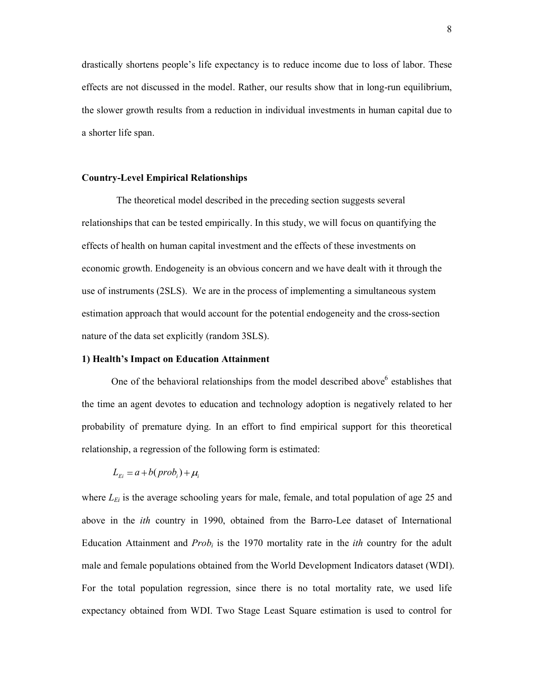drastically shortens people's life expectancy is to reduce income due to loss of labor. These effects are not discussed in the model. Rather, our results show that in long-run equilibrium, the slower growth results from a reduction in individual investments in human capital due to a shorter life span.

#### **Country-Level Empirical Relationships**

 The theoretical model described in the preceding section suggests several relationships that can be tested empirically. In this study, we will focus on quantifying the effects of health on human capital investment and the effects of these investments on economic growth. Endogeneity is an obvious concern and we have dealt with it through the use of instruments (2SLS). We are in the process of implementing a simultaneous system estimation approach that would account for the potential endogeneity and the cross-section nature of the data set explicitly (random 3SLS).

### **1) Health's Impact on Education Attainment**

One of the behavioral relationships from the model described above $6$  establishes that the time an agent devotes to education and technology adoption is negatively related to her probability of premature dying. In an effort to find empirical support for this theoretical relationship, a regression of the following form is estimated:

$$
L_{E_i} = a + b(\text{prob}_i) + \mu_i
$$

where  $L_{Ei}$  is the average schooling years for male, female, and total population of age 25 and above in the *ith* country in 1990, obtained from the Barro-Lee dataset of International Education Attainment and  $Prob_i$  is the 1970 mortality rate in the *ith* country for the adult male and female populations obtained from the World Development Indicators dataset (WDI). For the total population regression, since there is no total mortality rate, we used life expectancy obtained from WDI. Two Stage Least Square estimation is used to control for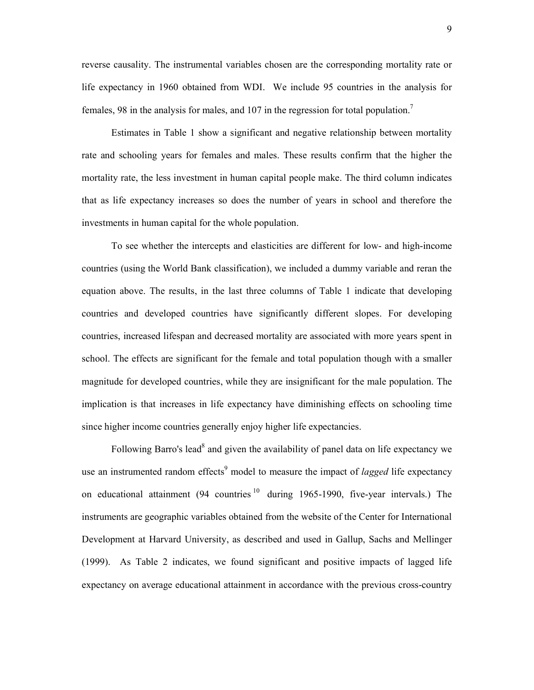reverse causality. The instrumental variables chosen are the corresponding mortality rate or life expectancy in 1960 obtained from WDI. We include 95 countries in the analysis for females, 98 in the analysis for males, and 107 in the regression for total population.<sup>7</sup>

Estimates in Table 1 show a significant and negative relationship between mortality rate and schooling years for females and males. These results confirm that the higher the mortality rate, the less investment in human capital people make. The third column indicates that as life expectancy increases so does the number of years in school and therefore the investments in human capital for the whole population.

To see whether the intercepts and elasticities are different for low- and high-income countries (using the World Bank classification), we included a dummy variable and reran the equation above. The results, in the last three columns of Table 1 indicate that developing countries and developed countries have significantly different slopes. For developing countries, increased lifespan and decreased mortality are associated with more years spent in school. The effects are significant for the female and total population though with a smaller magnitude for developed countries, while they are insignificant for the male population. The implication is that increases in life expectancy have diminishing effects on schooling time since higher income countries generally enjoy higher life expectancies.

Following Barro's lead<sup>8</sup> and given the availability of panel data on life expectancy we use an instrumented random effects<sup>9</sup> model to measure the impact of *lagged* life expectancy on educational attainment  $(94 \text{ countries}^{10} \text{ during } 1965-1990)$ , five-year intervals.) The instruments are geographic variables obtained from the website of the Center for International Development at Harvard University, as described and used in Gallup, Sachs and Mellinger (1999). As Table 2 indicates, we found significant and positive impacts of lagged life expectancy on average educational attainment in accordance with the previous cross-country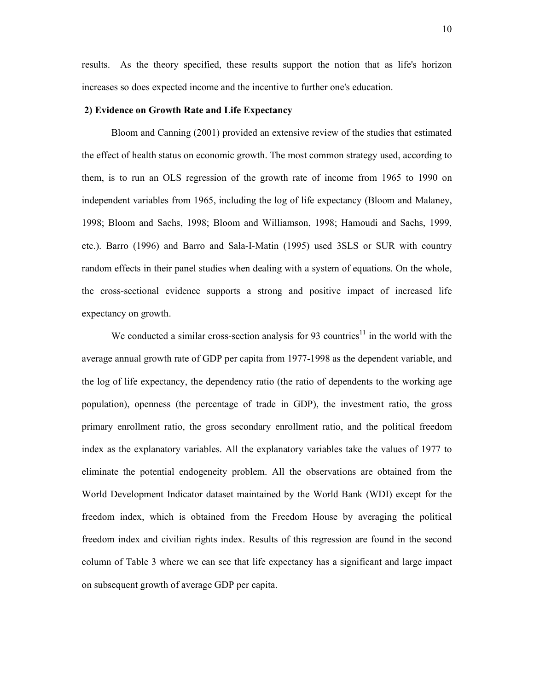results. As the theory specified, these results support the notion that as life's horizon increases so does expected income and the incentive to further one's education.

# **2) Evidence on Growth Rate and Life Expectancy**

Bloom and Canning (2001) provided an extensive review of the studies that estimated the effect of health status on economic growth. The most common strategy used, according to them, is to run an OLS regression of the growth rate of income from 1965 to 1990 on independent variables from 1965, including the log of life expectancy (Bloom and Malaney, 1998; Bloom and Sachs, 1998; Bloom and Williamson, 1998; Hamoudi and Sachs, 1999, etc.). Barro (1996) and Barro and Sala-I-Matin (1995) used 3SLS or SUR with country random effects in their panel studies when dealing with a system of equations. On the whole, the cross-sectional evidence supports a strong and positive impact of increased life expectancy on growth.

We conducted a similar cross-section analysis for 93 countries<sup>11</sup> in the world with the average annual growth rate of GDP per capita from 1977-1998 as the dependent variable, and the log of life expectancy, the dependency ratio (the ratio of dependents to the working age population), openness (the percentage of trade in GDP), the investment ratio, the gross primary enrollment ratio, the gross secondary enrollment ratio, and the political freedom index as the explanatory variables. All the explanatory variables take the values of 1977 to eliminate the potential endogeneity problem. All the observations are obtained from the World Development Indicator dataset maintained by the World Bank (WDI) except for the freedom index, which is obtained from the Freedom House by averaging the political freedom index and civilian rights index. Results of this regression are found in the second column of Table 3 where we can see that life expectancy has a significant and large impact on subsequent growth of average GDP per capita.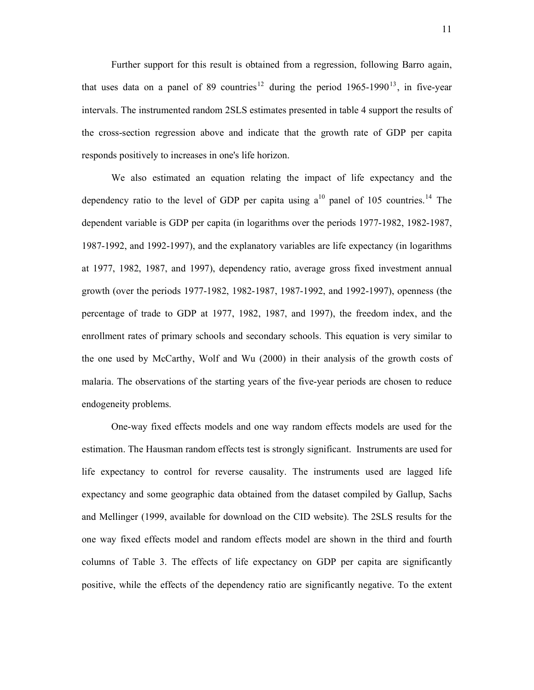Further support for this result is obtained from a regression, following Barro again, that uses data on a panel of 89 countries<sup>12</sup> during the period  $1965-1990^{13}$ , in five-year intervals. The instrumented random 2SLS estimates presented in table 4 support the results of the cross-section regression above and indicate that the growth rate of GDP per capita responds positively to increases in one's life horizon.

We also estimated an equation relating the impact of life expectancy and the dependency ratio to the level of GDP per capita using  $a^{10}$  panel of 105 countries.<sup>14</sup> The dependent variable is GDP per capita (in logarithms over the periods 1977-1982, 1982-1987, 1987-1992, and 1992-1997), and the explanatory variables are life expectancy (in logarithms at 1977, 1982, 1987, and 1997), dependency ratio, average gross fixed investment annual growth (over the periods 1977-1982, 1982-1987, 1987-1992, and 1992-1997), openness (the percentage of trade to GDP at 1977, 1982, 1987, and 1997), the freedom index, and the enrollment rates of primary schools and secondary schools. This equation is very similar to the one used by McCarthy, Wolf and Wu (2000) in their analysis of the growth costs of malaria. The observations of the starting years of the five-year periods are chosen to reduce endogeneity problems.

One-way fixed effects models and one way random effects models are used for the estimation. The Hausman random effects test is strongly significant. Instruments are used for life expectancy to control for reverse causality. The instruments used are lagged life expectancy and some geographic data obtained from the dataset compiled by Gallup, Sachs and Mellinger (1999, available for download on the CID website). The 2SLS results for the one way fixed effects model and random effects model are shown in the third and fourth columns of Table 3. The effects of life expectancy on GDP per capita are significantly positive, while the effects of the dependency ratio are significantly negative. To the extent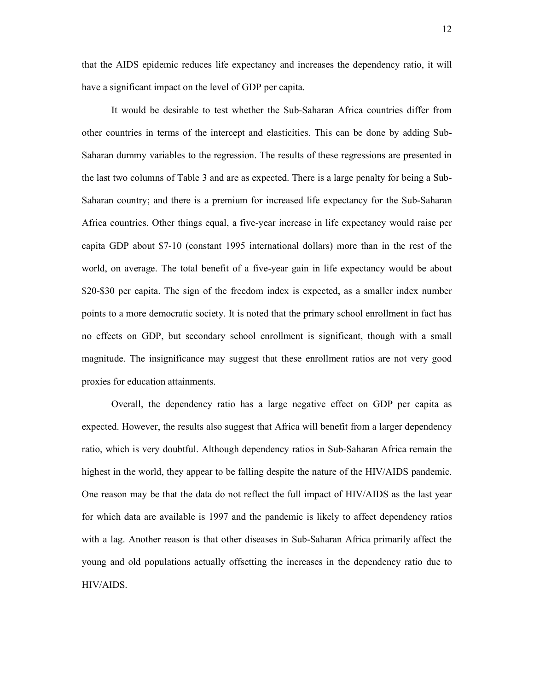that the AIDS epidemic reduces life expectancy and increases the dependency ratio, it will have a significant impact on the level of GDP per capita.

It would be desirable to test whether the Sub-Saharan Africa countries differ from other countries in terms of the intercept and elasticities. This can be done by adding Sub-Saharan dummy variables to the regression. The results of these regressions are presented in the last two columns of Table 3 and are as expected. There is a large penalty for being a Sub-Saharan country; and there is a premium for increased life expectancy for the Sub-Saharan Africa countries. Other things equal, a five-year increase in life expectancy would raise per capita GDP about \$7-10 (constant 1995 international dollars) more than in the rest of the world, on average. The total benefit of a five-year gain in life expectancy would be about \$20-\$30 per capita. The sign of the freedom index is expected, as a smaller index number points to a more democratic society. It is noted that the primary school enrollment in fact has no effects on GDP, but secondary school enrollment is significant, though with a small magnitude. The insignificance may suggest that these enrollment ratios are not very good proxies for education attainments.

Overall, the dependency ratio has a large negative effect on GDP per capita as expected. However, the results also suggest that Africa will benefit from a larger dependency ratio, which is very doubtful. Although dependency ratios in Sub-Saharan Africa remain the highest in the world, they appear to be falling despite the nature of the HIV/AIDS pandemic. One reason may be that the data do not reflect the full impact of HIV/AIDS as the last year for which data are available is 1997 and the pandemic is likely to affect dependency ratios with a lag. Another reason is that other diseases in Sub-Saharan Africa primarily affect the young and old populations actually offsetting the increases in the dependency ratio due to HIV/AIDS.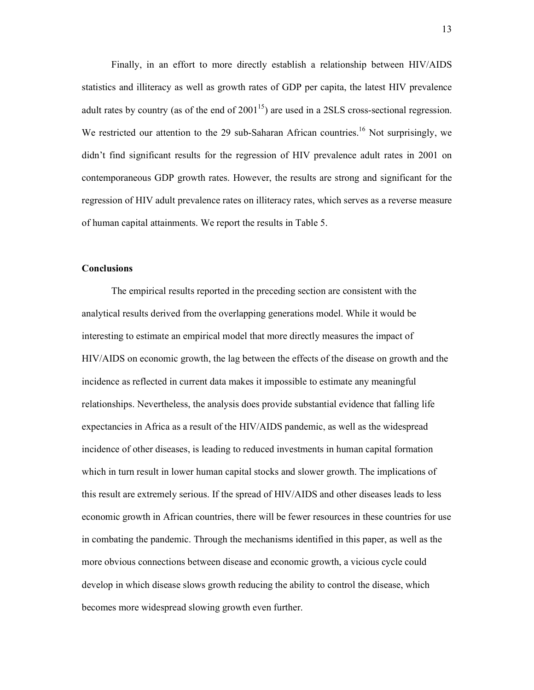Finally, in an effort to more directly establish a relationship between HIV/AIDS statistics and illiteracy as well as growth rates of GDP per capita, the latest HIV prevalence adult rates by country (as of the end of  $2001^{15}$ ) are used in a 2SLS cross-sectional regression. We restricted our attention to the 29 sub-Saharan African countries.<sup>16</sup> Not surprisingly, we didn't find significant results for the regression of HIV prevalence adult rates in 2001 on contemporaneous GDP growth rates. However, the results are strong and significant for the regression of HIV adult prevalence rates on illiteracy rates, which serves as a reverse measure of human capital attainments. We report the results in Table 5.

## **Conclusions**

 The empirical results reported in the preceding section are consistent with the analytical results derived from the overlapping generations model. While it would be interesting to estimate an empirical model that more directly measures the impact of HIV/AIDS on economic growth, the lag between the effects of the disease on growth and the incidence as reflected in current data makes it impossible to estimate any meaningful relationships. Nevertheless, the analysis does provide substantial evidence that falling life expectancies in Africa as a result of the HIV/AIDS pandemic, as well as the widespread incidence of other diseases, is leading to reduced investments in human capital formation which in turn result in lower human capital stocks and slower growth. The implications of this result are extremely serious. If the spread of HIV/AIDS and other diseases leads to less economic growth in African countries, there will be fewer resources in these countries for use in combating the pandemic. Through the mechanisms identified in this paper, as well as the more obvious connections between disease and economic growth, a vicious cycle could develop in which disease slows growth reducing the ability to control the disease, which becomes more widespread slowing growth even further.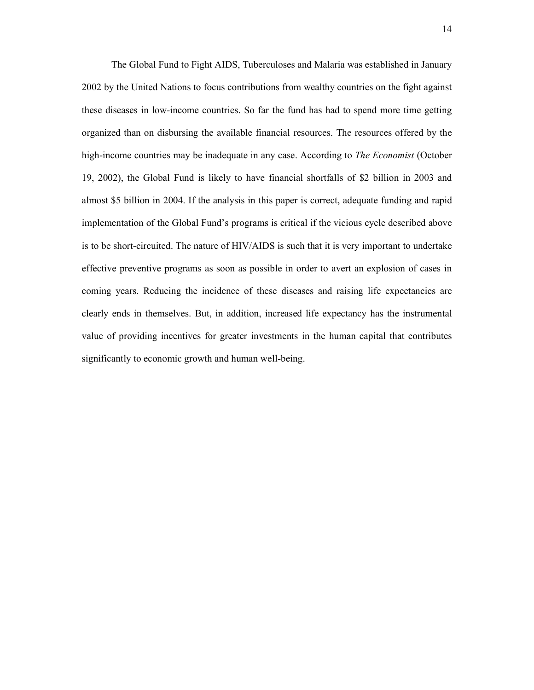The Global Fund to Fight AIDS, Tuberculoses and Malaria was established in January 2002 by the United Nations to focus contributions from wealthy countries on the fight against these diseases in low-income countries. So far the fund has had to spend more time getting organized than on disbursing the available financial resources. The resources offered by the high-income countries may be inadequate in any case. According to *The Economist* (October 19, 2002), the Global Fund is likely to have financial shortfalls of \$2 billion in 2003 and almost \$5 billion in 2004. If the analysis in this paper is correct, adequate funding and rapid implementation of the Global Fund's programs is critical if the vicious cycle described above is to be short-circuited. The nature of HIV/AIDS is such that it is very important to undertake effective preventive programs as soon as possible in order to avert an explosion of cases in coming years. Reducing the incidence of these diseases and raising life expectancies are clearly ends in themselves. But, in addition, increased life expectancy has the instrumental value of providing incentives for greater investments in the human capital that contributes significantly to economic growth and human well-being.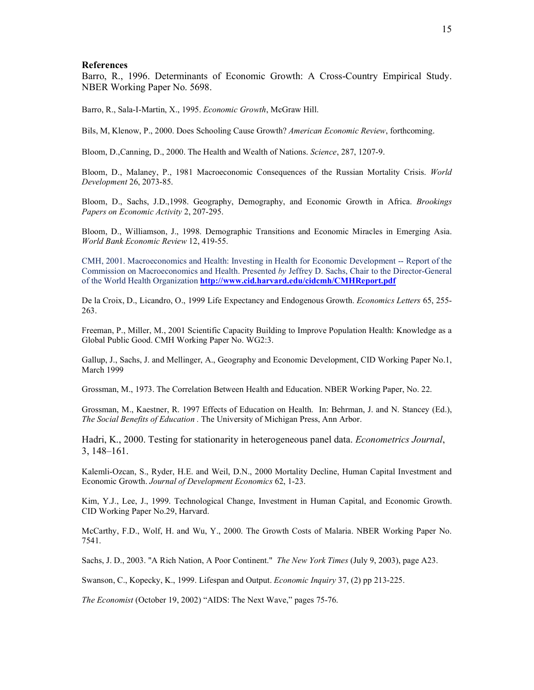#### **References**

Barro, R., 1996. Determinants of Economic Growth: A Cross-Country Empirical Study. NBER Working Paper No. 5698.

Barro, R., Sala-I-Martin, X., 1995. *Economic Growth*, McGraw Hill.

Bils, M, Klenow, P., 2000. Does Schooling Cause Growth? *American Economic Review*, forthcoming.

Bloom, D.,Canning, D., 2000. The Health and Wealth of Nations. *Science*, 287, 1207-9.

Bloom, D., Malaney, P., 1981 Macroeconomic Consequences of the Russian Mortality Crisis. *World Development* 26, 2073-85.

Bloom, D., Sachs, J.D.,1998. Geography, Demography, and Economic Growth in Africa. *Brookings Papers on Economic Activity* 2, 207-295.

Bloom, D., Williamson, J., 1998. Demographic Transitions and Economic Miracles in Emerging Asia. *World Bank Economic Review* 12, 419-55.

CMH, 2001. Macroeconomics and Health: Investing in Health for Economic Development -- Report of the Commission on Macroeconomics and Health. Presented *by* Jeffrey D. Sachs, Chair to the Director-General of the World Health Organization **http://www.cid.harvard.edu/cidcmh/CMHReport.pdf**

De la Croix, D., Licandro, O., 1999 Life Expectancy and Endogenous Growth. *Economics Letters* 65, 255- 263.

Freeman, P., Miller, M., 2001 Scientific Capacity Building to Improve Population Health: Knowledge as a Global Public Good. CMH Working Paper No. WG2:3.

Gallup, J., Sachs, J. and Mellinger, A., Geography and Economic Development, CID Working Paper No.1, March 1999

Grossman, M., 1973. The Correlation Between Health and Education. NBER Working Paper, No. 22.

Grossman, M., Kaestner, R. 1997 Effects of Education on Health. In: Behrman, J. and N. Stancey (Ed.), *The Social Benefits of Education .* The University of Michigan Press, Ann Arbor.

Hadri, K., 2000. Testing for stationarity in heterogeneous panel data. *Econometrics Journal*, 3, 148–161.

Kalemli-Ozcan, S., Ryder, H.E. and Weil, D.N., 2000 Mortality Decline, Human Capital Investment and Economic Growth. *Journal of Development Economics* 62, 1-23.

Kim, Y.J., Lee, J., 1999. Technological Change, Investment in Human Capital, and Economic Growth. CID Working Paper No.29, Harvard.

McCarthy, F.D., Wolf, H. and Wu, Y., 2000. The Growth Costs of Malaria. NBER Working Paper No. 7541.

Sachs, J. D., 2003. "A Rich Nation, A Poor Continent." *The New York Times* (July 9, 2003), page A23.

Swanson, C., Kopecky, K., 1999. Lifespan and Output. *Economic Inquiry* 37, (2) pp 213-225.

*The Economist* (October 19, 2002) "AIDS: The Next Wave," pages 75-76.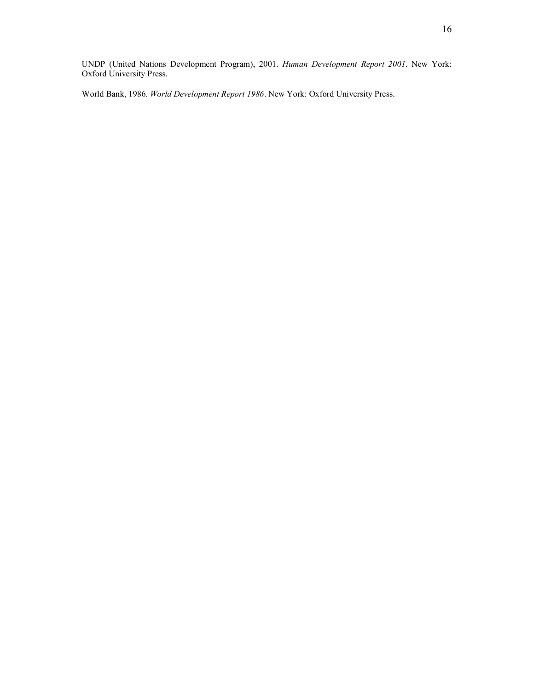16

UNDP (United Nations Development Program), 2001. *Human Development Report 2001*. New York: Oxford University Press.

World Bank, 1986. *World Development Report 1986*. New York: Oxford University Press.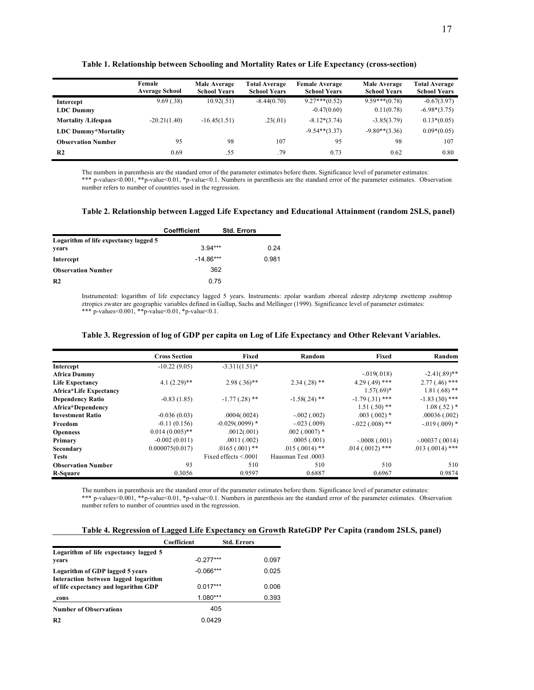|                            | Female<br><b>Average School</b> | Male Average<br><b>School Years</b> | <b>Total Average</b><br><b>School Years</b> | <b>Female Average</b><br><b>School Years</b> | Male Average<br><b>School Years</b> | <b>Total Average</b><br><b>School Years</b> |
|----------------------------|---------------------------------|-------------------------------------|---------------------------------------------|----------------------------------------------|-------------------------------------|---------------------------------------------|
| Intercept                  | 9.69(.38)                       | 10.92(.51)                          | $-8.44(0.70)$                               | $9.27***(0.52)$                              | $9.59***(0.78)$                     | $-0.67(3.97)$                               |
| <b>LDC</b> Dummy           |                                 |                                     |                                             | $-0.47(0.60)$                                | 0.11(0.78)                          | $-6.98*(3.75)$                              |
| <b>Mortality /Lifespan</b> | $-20.21(1.40)$                  | $-16.45(1.51)$                      | .23(.01)                                    | $-8.12*(3.74)$                               | $-3.85(3.79)$                       | $0.13*(0.05)$                               |
| LDC Dummy*Mortality        |                                 |                                     |                                             | $-9.54**$ $(3.37)$                           | $-9.80**$ (3.36)                    | $0.09*(0.05)$                               |
| <b>Observation Number</b>  | 95                              | 98                                  | 107                                         | 95                                           | 98                                  | 107                                         |
| R <sub>2</sub>             | 0.69                            | .55                                 | .79                                         | 0.73                                         | 0.62                                | 0.80                                        |

**Table 1. Relationship between Schooling and Mortality Rates or Life Expectancy (cross-section)** 

The numbers in parenthesis are the standard error of the parameter estimates before them. Significance level of parameter estimates:

\*\*\* p-values<0.001, \*\*p-value<0.01, \*p-value<0.1. Numbers in parenthesis are the standard error of the parameter estimates. Observation number refers to number of countries used in the regression.

#### **Table 2. Relationship between Lagged Life Expectancy and Educational Attainment (random 2SLS, panel)**

|                                       | Coeffficient | <b>Std. Errors</b> |       |
|---------------------------------------|--------------|--------------------|-------|
| Logarithm of life expectancy lagged 5 |              |                    |       |
| years                                 | $3.94***$    |                    | 0.24  |
| Intercept                             | $-14.86***$  |                    | 0.981 |
| <b>Observation Number</b>             | 362          |                    |       |
| R <sub>2</sub>                        | 0.75         |                    |       |

Instrumented: logarithm of life expectancy lagged 5 years. Instruments: zpolar wardum zboreal zdestrp zdrytemp zwettemp zsubtrop ztropics zwater are geographic variables defined in Gallup, Sachs and Mellinger (1999). Significance level of parameter estimates: \*\*\* p-values<0.001, \*\*p-value<0.01, \*p-value<0.1.

#### **Table 3. Regression of log of GDP per capita on Log of Life Expectancy and Other Relevant Variables.**

|                               | <b>Cross Section</b> | Fixed                     | Random             | Fixed             | Random            |
|-------------------------------|----------------------|---------------------------|--------------------|-------------------|-------------------|
| Intercept                     | $-10.22(9.05)$       | $-3.311(1.51)$ *          |                    |                   |                   |
| <b>Africa Dummy</b>           |                      |                           |                    | $-0.019(0.018)$   | $-2.41(.89)$ **   |
| <b>Life Expectancy</b>        | $4.1(2.29)$ **       | $2.98(.36)$ **            | $2.34(.28)$ **     | $4.29(.49)$ ***   | $2.77(.46)$ ***   |
| <b>Africa*Life Expectancy</b> |                      |                           |                    | $1.57(.69)*$      | $1.81(.68)$ **    |
| <b>Dependency Ratio</b>       | $-0.83(1.85)$        | $-1.77(.28)$ **           | $-1.58(.24)$ **    | $-1.79(0.31)$ *** | $-1.83(30)$ ***   |
| Africa*Dependency             |                      |                           |                    | $1.51(.50)$ **    | $1.08(.52)^*$     |
| <b>Investment Ratio</b>       | $-0.036(0.03)$       | .0004(.0024)              | $-.002(.002)$      | $.003(.002)$ *    | .00036(.002)      |
| Freedom                       | $-0.11(0.156)$       | $-0.029(.0099)$ *         | $-.023(.009)$      | $-.022(.008)$ **  | $-0.019(0.009)$ * |
| <b>Openness</b>               | $0.014(0.005)$ **    | .0012(.001)               | $.002$ (.0007) *   |                   |                   |
| Primary                       | $-0.002(0.011)$      | .0011(.002)               | .0005(.001)        | $-.0008(.001)$    | $-.00037(.0014)$  |
| Secondary                     | 0.000075(0.017)      | $.0165(.001)$ **          | $.015(.0014)$ **   | $.014(.0012)$ *** | $.013(.0014)$ *** |
| <b>Tests</b>                  |                      | Fixed effects $\leq 0001$ | Hausman Test .0003 |                   |                   |
| <b>Observation Number</b>     | 93                   | 510                       | 510                | 510               | 510               |
| R-Square                      | 0.3056               | 0.9597                    | 0.6887             | 0.6967            | 0.9874            |

The numbers in parenthesis are the standard error of the parameter estimates before them. Significance level of parameter estimates: \*\*\* p-values<0.001, \*\*p-value<0.01, \*p-value<0.1. Numbers in parenthesis are the standard error of the parameter estimates. Observation number refers to number of countries used in the regression.

| Table 4. Regression of Lagged Life Expectancy on Growth RateGDP Per Capita (random 2SLS, panel) |  |  |  |
|-------------------------------------------------------------------------------------------------|--|--|--|
|-------------------------------------------------------------------------------------------------|--|--|--|

|                                       | Coefficient | <b>Std. Errors</b> |
|---------------------------------------|-------------|--------------------|
| Logarithm of life expectancy lagged 5 |             |                    |
| years                                 | $-0.277***$ | 0.097              |
| Logarithm of GDP lagged 5 years       | $-0.066***$ | 0.025              |
| Interaction between lagged logarithm  |             |                    |
| of life expectancy and logarithm GDP  | $0.017***$  | 0.006              |
| cons                                  | $1.080***$  | 0.393              |
| <b>Number of Observations</b>         | 405         |                    |
| R <sub>2</sub>                        | 0.0429      |                    |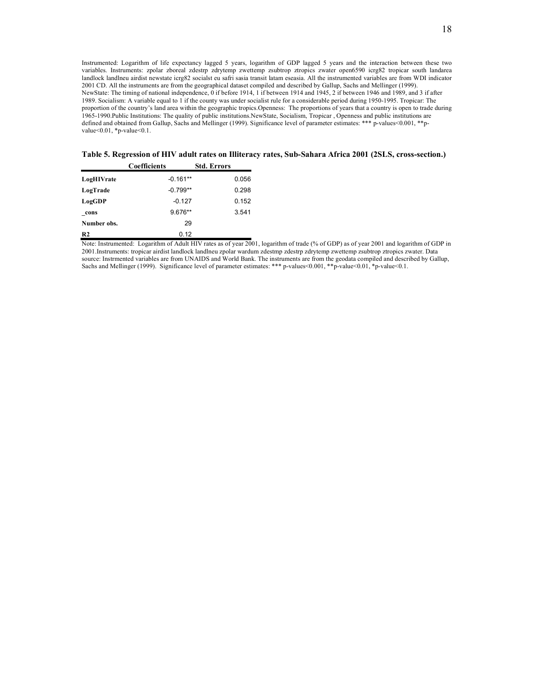Instrumented: Logarithm of life expectancy lagged 5 years, logarithm of GDP lagged 5 years and the interaction between these two variables. Instruments: zpolar zboreal zdestrp zdrytemp zwettemp zsubtrop ztropics zwater open6590 icrg82 tropicar south landarea landlock landlneu airdist newstate icrg82 socialst eu safri sasia transit latam eseasia. All the instrumented variables are from WDI indicator 2001 CD. All the instruments are from the geographical dataset compiled and described by Gallup, Sachs and Mellinger (1999). NewState: The timing of national independence, 0 if before 1914, 1 if between 1914 and 1945, 2 if between 1946 and 1989, and 3 if after 1989. Socialism: A variable equal to 1 if the county was under socialist rule for a considerable period during 1950-1995. Tropicar: The proportion of the country's land area within the geographic tropics.Openness: The proportions of years that a country is open to trade during 1965-1990.Public Institutions: The quality of public institutions.NewState, Socialism, Tropicar , Openness and public institutions are defined and obtained from Gallup, Sachs and Mellinger (1999). Significance level of parameter estimates: \*\*\* p-values<0.001, \*\*pvalue<0.01, \*p-value<0.1.

**Table 5. Regression of HIV adult rates on Illiteracy rates, Sub-Sahara Africa 2001 (2SLS, cross-section.)** 

|                | <b>Coefficients</b> | <b>Std. Errors</b> |
|----------------|---------------------|--------------------|
| LogHIVrate     | $-0.161**$          | 0.056              |
| LogTrade       | $-0.799**$          | 0.298              |
| LogGDP         | $-0.127$            | 0.152              |
| cons           | 9.676**             | 3.541              |
| Number obs.    | 29                  |                    |
| R <sub>2</sub> | 0.12                |                    |

Note: Instrumented: Logarithm of Adult HIV rates as of year 2001, logarithm of trade (% of GDP) as of year 2001 and logarithm of GDP in 2001.Instruments: tropicar airdist landlock landlneu zpolar wardum zdestmp zdestrp zdrytemp zwettemp zsubtrop ztropics zwater. Data source: Instrmented variables are from UNAIDS and World Bank. The instruments are from the geodata compiled and described by Gallup, Sachs and Mellinger (1999). Significance level of parameter estimates: \*\*\* p-values<0.001, \*\*p-value<0.01, \*p-value<0.1.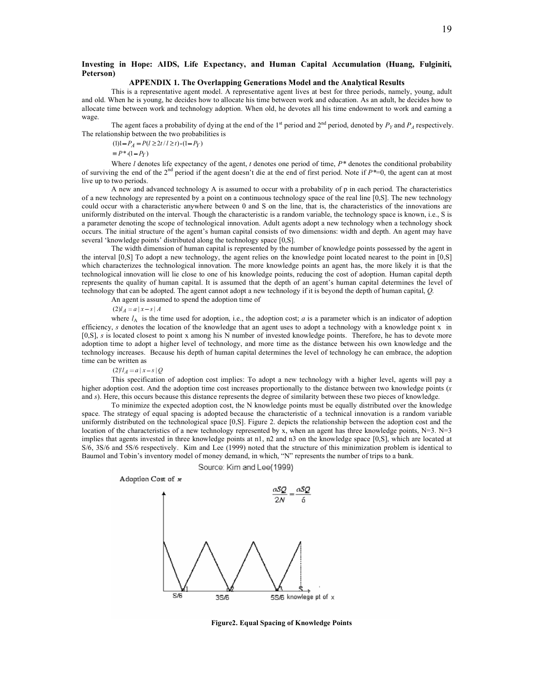#### **Investing in Hope: AIDS, Life Expectancy, and Human Capital Accumulation (Huang, Fulginiti, Peterson)**

#### **APPENDIX 1. The Overlapping Generations Model and the Analytical Results**

This is a representative agent model. A representative agent lives at best for three periods, namely, young, adult and old. When he is young, he decides how to allocate his time between work and education. As an adult, he decides how to allocate time between work and technology adoption. When old, he devotes all his time endowment to work and earning a wage.

The agent faces a probability of dying at the end of the 1<sup>st</sup> period and  $2<sup>nd</sup>$  period, denoted by  $P<sub>Y</sub>$  and  $P<sub>A</sub>$  respectively. The relationship between the two probabilities is

 $P_A = P(l \geq 2t / l \geq t)$   $(1 - P_Y)$ 

 $P^* (1 - P_Y)$ 

Where *l* denotes life expectancy of the agent, *t* denotes one period of time,  $P^*$  denotes the conditional probability of surviving the end of the 2nd period if the agent doesn't die at the end of first period. Note if *P\**=0, the agent can at most live up to two periods.

A new and advanced technology A is assumed to occur with a probability of p in each period. The characteristics of a new technology are represented by a point on a continuous technology space of the real line [0,S]. The new technology could occur with a characteristic anywhere between 0 and S on the line, that is, the characteristics of the innovations are uniformly distributed on the interval. Though the characteristic is a random variable, the technology space is known, i.e., S is a parameter denoting the scope of technological innovation. Adult agents adopt a new technology when a technology shock occurs. The initial structure of the agent's human capital consists of two dimensions: width and depth. An agent may have several 'knowledge points' distributed along the technology space [0,S].

The width dimension of human capital is represented by the number of knowledge points possessed by the agent in the interval [0,S] To adopt a new technology, the agent relies on the knowledge point located nearest to the point in [0,S] which characterizes the technological innovation. The more knowledge points an agent has, the more likely it is that the technological innovation will lie close to one of his knowledge points, reducing the cost of adoption. Human capital depth represents the quality of human capital. It is assumed that the depth of an agent's human capital determines the level of technology that can be adopted. The agent cannot adopt a new technology if it is beyond the depth of human capital, *Q.*

An agent is assumed to spend the adoption time of

 $(2)l_A = a | x - s | A$ 

where  $l_A$  is the time used for adoption, i.e., the adoption cost; *a* is a parameter which is an indicator of adoption efficiency, *s* denotes the location of the knowledge that an agent uses to adopt a technology with a knowledge point x in [0,S], *s* is located closest to point x among his N number of invested knowledge points. Therefore, he has to devote more adoption time to adopt a higher level of technology, and more time as the distance between his own knowledge and the technology increases. Because his depth of human capital determines the level of technology he can embrace, the adoption time can be written as

 $(2)'$ *l<sub>A</sub>* = *a* | *x* - *s* | *Q* 

This specification of adoption cost implies: To adopt a new technology with a higher level, agents will pay a higher adoption cost. And the adoption time cost increases proportionally to the distance between two knowledge points (*x* and *s*). Here, this occurs because this distance represents the degree of similarity between these two pieces of knowledge.

To minimize the expected adoption cost, the N knowledge points must be equally distributed over the knowledge space. The strategy of equal spacing is adopted because the characteristic of a technical innovation is a random variable uniformly distributed on the technological space [0,S]. Figure 2. depicts the relationship between the adoption cost and the location of the characteristics of a new technology represented by x, when an agent has three knowledge points, N=3. N=3 implies that agents invested in three knowledge points at n1, n2 and n3 on the knowledge space [0,S], which are located at S/6, 3S/6 and 5S/6 respectively. Kim and Lee (1999) noted that the structure of this minimization problem is identical to Baumol and Tobin's inventory model of money demand, in which, "N" represents the number of trips to a bank.

Source: Kim and Lee(1999)



**Figure2. Equal Spacing of Knowledge Points**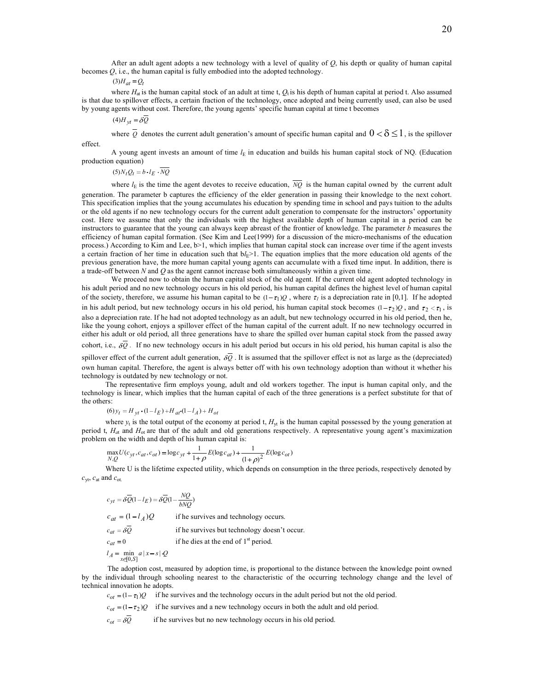After an adult agent adopts a new technology with a level of quality of *Q*, his depth or quality of human capital becomes  $Q$ , i.e., the human capital is fully embodied into the adopted technology.

 $(3)H_{at} = Q_t$ 

where  $H_{at}$  is the human capital stock of an adult at time t,  $Q_t$  is his depth of human capital at period t. Also assumed is that due to spillover effects, a certain fraction of the technology, once adopted and being currently used, can also be used by young agents without cost. Therefore, the young agents' specific human capital at time t becomes

 $(4)H_{vt} = \delta \overline{Q}$ 

where  $\overline{Q}$  denotes the current adult generation's amount of specific human capital and  $0<\delta\leq 1$ , is the spillover effect.

A young agent invests an amount of time  $l<sub>E</sub>$  in education and builds his human capital stock of NQ. (Education production equation)

 $(5)N_tQ_t = b \cdot l_E \cdot \overline{NQ}$ 

where  $l_{\rm E}$  is the time the agent devotes to receive education,  $\overline{NO}$  is the human capital owned by the current adult generation. The parameter b captures the efficiency of the elder generation in passing their knowledge to the next cohort. This specification implies that the young accumulates his education by spending time in school and pays tuition to the adults or the old agents if no new technology occurs for the current adult generation to compensate for the instructors' opportunity cost. Here we assume that only the individuals with the highest available depth of human capital in a period can be instructors to guarantee that the young can always keep abreast of the frontier of knowledge. The parameter *b* measures the efficiency of human capital formation. (See Kim and Lee(1999) for a discussion of the micro-mechanisms of the education process.) According to Kim and Lee, b>1, which implies that human capital stock can increase over time if the agent invests a certain fraction of her time in education such that  $bl_E>1$ . The equation implies that the more education old agents of the previous generation have, the more human capital young agents can accumulate with a fixed time input. In addition, there is a trade-off between *N* and *Q* as the agent cannot increase both simultaneously within a given time.

We proceed now to obtain the human capital stock of the old agent. If the current old agent adopted technology in his adult period and no new technology occurs in his old period, his human capital defines the highest level of human capital of the society, therefore, we assume his human capital to be  $(1 - \tau_1)Q$ , where  $\tau_1$  is a depreciation rate in [0,1]. If he adopted in his adult period, but new technology occurs in his old period, his human capital stock becomes  $(1-\tau_2)Q$ , and  $\tau_2 < \tau_1$ , is also a depreciation rate. If he had not adopted technology as an adult, but new technology occurred in his old period, then he, like the young cohort, enjoys a spillover effect of the human capital of the current adult. If no new technology occurred in either his adult or old period, all three generations have to share the spilled over human capital stock from the passed away cohort, i.e.,  $\delta Q$ . If no new technology occurs in his adult period but occurs in his old period, his human capital is also the

spillover effect of the current adult generation,  $\delta \overline{Q}$ . It is assumed that the spillover effect is not as large as the (depreciated) own human capital. Therefore, the agent is always better off with his own technology adoption than without it whether his technology is outdated by new technology or not.

The representative firm employs young, adult and old workers together. The input is human capital only, and the technology is linear, which implies that the human capital of each of the three generations is a perfect substitute for that of the others:

 $f(t) y_t = H_{vt} \cdot (1 - l_E) + H_{at} \cdot (1 - l_A) + H_{ot}$ 

where  $y_t$  is the total output of the economy at period t,  $H_{\rm vt}$  is the human capital possessed by the young generation at period t,  $H_{at}$  and  $H_{ot}$  are that of the adult and old generations respectively. A representative young agent's maximization problem on the width and depth of his human capital is:

$$
\max_{N,Q} U(c_{yt}, c_{at}, c_{ot}) = \log c_{yt} + \frac{1}{1+\rho} E(\log c_{at}) + \frac{1}{(1+\rho)^2} E(\log c_{ot})
$$

Where U is the lifetime expected utility, which depends on consumption in the three periods, respectively denoted by *c*yt, *c*at and *c*ot.

$$
c_{yt} = \delta \overline{Q}(1 - l_E) = \delta \overline{Q}(1 - \frac{NQ}{bNQ})
$$
  
\n
$$
c_{at} = (1 - l_A)Q
$$
 if he survives and technology occurs.  
\n
$$
c_{at} = \delta \overline{Q}
$$
 if he survives but technology doesn't occur.  
\n
$$
c_{at} = 0
$$
 if he dies at the end of 1<sup>st</sup> period.  
\n
$$
l_A = \min_{x \in [0, S]} a |x - s| Q
$$

The adoption cost, measured by adoption time, is proportional to the distance between the knowledge point owned by the individual through schooling nearest to the characteristic of the occurring technology change and the level of technical innovation he adopts.

 $c_{ot} = (1 - \tau_1)Q$  if he survives and the technology occurs in the adult period but not the old period.

 $c_{ot} = (1 - \tau_2)Q$  if he survives and a new technology occurs in both the adult and old period.

 $c_{ot} = \delta \overline{Q}$  if he survives but no new technology occurs in his old period.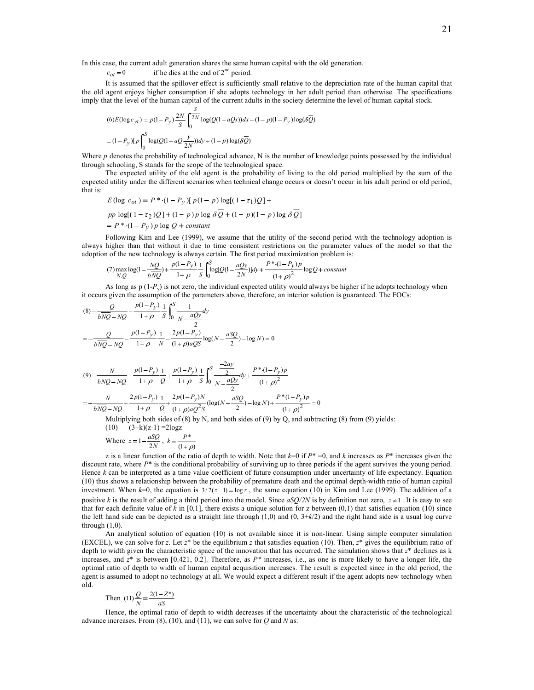In this case, the current adult generation shares the same human capital with the old generation.

 $c_{ot} = 0$  if he dies at the end of  $2<sup>nd</sup>$  period.

It is assumed that the spillover effect is sufficiently small relative to the depreciation rate of the human capital that the old agent enjoys higher consumption if she adopts technology in her adult period than otherwise. The specifications imply that the level of the human capital of the current adults in the society determine the level of human capital stock.

$$
(6)E(\log c_{yt}) = p(1 - P_y) \frac{2N}{S} \int_0^S \frac{S}{2N} \log(Q(1 - aQx))dx + (1 - p)(1 - P_y) \log(\delta \overline{Q})
$$
  
=  $(1 - P_y) [p]_0^S \log(Q(1 - aQ\frac{y}{2N}))dy + (1 - p) \log(\delta \overline{Q})$ 

Where *p* denotes the probability of technological advance, N is the number of knowledge points possessed by the individual through schooling, S stands for the scope of the technological space.

The expected utility of the old agent is the probability of living to the old period multiplied by the sum of the expected utility under the different scenarios when technical change occurs or doesn't occur in his adult period or old period, that is:

$$
E(\log c_{ot}) = P^* \cdot (1 - P_y) [p(1 - p) \log[(1 - \tau_1)Q] +
$$
  
pp log[(1 - \tau\_2)Q] + (1 - p)p log  $\delta Q$  + (1 - p)(1 - p) log  $\delta Q$ ]  
= P^\* \cdot (1 - P\_y) p log Q + constant

Following Kim and Lee (1999), we assume that the utility of the second period with the technology adoption is always higher than that without it due to time consistent restrictions on the parameter values of the model so that the adoption of the new technology is always certain. The first period maximization problem is:

$$
(7) \max_{N,Q} \log(1 - \frac{NQ}{bNQ}) + \frac{p(1 - P_y)}{1 + \rho} \frac{1}{S} \int_0^S \log[Q(1 - \frac{aQy}{2N})] dy + \frac{P^*(1 - P_y)p}{(1 + \rho)^2} \log Q + constant
$$

As long as  $p(1-P_y)$  is not zero, the individual expected utility would always be higher if he adopts technology when it occurs given the assumption of the parameters above, therefore, an interior solution is guaranteed. The FOCs:

$$
(8) - \frac{Q}{b\overline{NQ} - NQ} - \frac{p(1 - P_y)}{1 + \rho} \frac{1}{S} \int_0^S \frac{1}{N - \frac{aQy}{2}} dy
$$
  
\n
$$
= -\frac{Q}{b\overline{NQ} - NQ} - \frac{p(1 - P_y)}{1 + \rho} \frac{1}{N} - \frac{2p(1 - P_y)}{(1 + \rho)aQS} \log(N - \frac{aSQ}{2}) - \log N) = 0
$$
  
\n
$$
(9) - \frac{N}{b\overline{NQ} - NQ} + \frac{p(1 - P_y)}{1 + \rho} \frac{1}{Q} + \frac{p(1 - P_y)}{1 + \rho} \frac{1}{S} \int_0^S \frac{-2ay}{2} dy + \frac{P^*(1 - P_y)p}{(1 + \rho)^2}
$$
  
\n
$$
= -\frac{N}{b\overline{NQ} - NQ} + \frac{2p(1 - P_y)}{1 + \rho} \frac{1}{Q} + \frac{2p(1 - P_y)N}{(1 + \rho)aQ^2S} (\log(N - \frac{aSQ}{2}) - \log N) + \frac{P^*(1 - P_y)p}{(1 + \rho)^2} = 0
$$
  
\nMultiplying both sides of (8) by N, and both sides of (9) by Q, and subtracting (8) from (9) yields:  
\n
$$
(10) (3+k)(z-1) = 2\log z
$$

Where 
$$
z = 1 - \frac{aSQ}{2N}
$$
,  $k = \frac{P^*}{(1 + \rho)}$ 

z is a linear function of the ratio of depth to width. Note that *k*=0 if *P*\* =0, and *k* increases as *P*\* increases given the discount rate, where  $P^*$  is the conditional probability of surviving up to three periods if the agent survives the young period. Hence *k* can be interpreted as a time value coefficient of future consumption under uncertainty of life expectancy. Equation (10) thus shows a relationship between the probability of premature death and the optimal depth-width ratio of human capital investment. When  $k=0$ , the equation is  $3/2(z-1) = \log z$ , the same equation (10) in Kim and Lee (1999). The addition of a positive *k* is the result of adding a third period into the model. Since  $aSO/2N$  is by definition not zero,  $z \ne 1$ . It is easy to see that for each definite value of  $k$  in [0,1], there exists a unique solution for z between (0,1) that satisfies equation (10) since the left hand side can be depicted as a straight line through (1,0) and (0, 3+*k*/2) and the right hand side is a usual log curve through  $(1,0)$ .

An analytical solution of equation (10) is not available since it is non-linear. Using simple computer simulation (EXCEL), we can solve for *z*. Let  $z^*$  be the equilibrium *z* that satisfies equation (10). Then,  $z^*$  gives the equilibrium ratio of depth to width given the characteristic space of the innovation that has occurred. The simulation shows that *z*\* declines as k increases, and *z*\* is between [0.421, 0.2]. Therefore, as *P\** increases, i.e., as one is more likely to have a longer life, the optimal ratio of depth to width of human capital acquisition increases. The result is expected since in the old period, the agent is assumed to adopt no technology at all. We would expect a different result if the agent adopts new technology when old.

Then 
$$
(11)\frac{Q}{N} = \frac{2(1 - Z^*)}{aS}
$$

Hence, the optimal ratio of depth to width decreases if the uncertainty about the characteristic of the technological advance increases. From (8), (10), and (11), we can solve for *Q* and *N* as: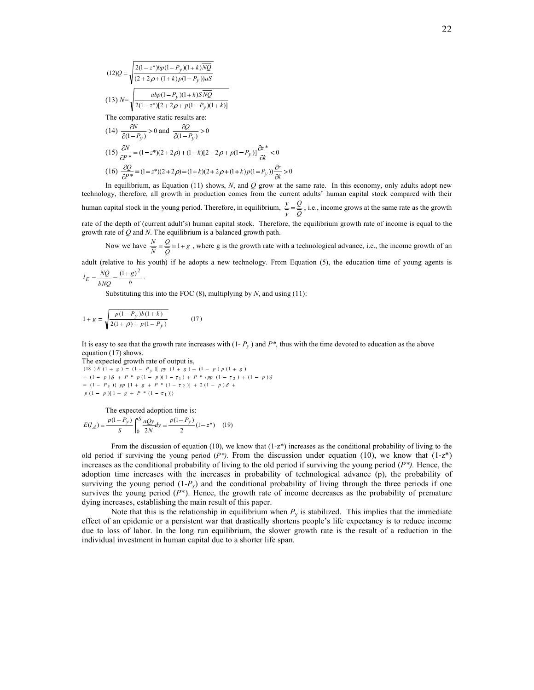$$
(12)Q = \sqrt{\frac{2(1-z^*)bp(1-P_y)(1+k)\overline{NQ}}{(2+2p+(1+k)p(1-P_y))aS}}
$$
\n
$$
(13) N = \sqrt{\frac{abp(1-P_y)(1+k)S\overline{NQ}}{2(1-z^*)[2+2p+p(1-P_y)(1+k)]}}
$$
\nThe comparative static results are:

$$
(14) \frac{\partial N}{\partial (1 - P_y)} > 0 \text{ and } \frac{\partial Q}{\partial (1 - P_y)} > 0
$$
  

$$
(15) \frac{\partial N}{\partial P^*} = (1 - z^*)(2 + 2\rho) + (1 + k)[2 + 2\rho + p(1 - P_y)]\frac{\partial z^*}{\partial k} < 0
$$
  

$$
(16) \frac{\partial Q}{\partial P^*} = (1 - z^*)(2 + 2\rho) - (1 + k)(2 + 2\rho + (1 + k)p(1 - P_y))\frac{\partial z}{\partial k} > 0
$$

In equilibrium, as Equation (11) shows, *N*, and *Q* grow at the same rate. In this economy, only adults adopt new technology, therefore, all growth in production comes from the current adults' human capital stock compared with their human capital stock in the young period. Therefore, in equilibrium,  $\frac{y}{y} = \frac{y}{Q}$ *Q*  $\frac{y}{y} = \frac{Q}{Q}$ , i.e., income grows at the same rate as the growth rate of the depth of (current adult's) human capital stock. Therefore, the equilibrium growth rate of income is equal to the growth rate of *Q* and *N*. The equilibrium is a balanced growth path.

Now we have  $\frac{N}{\overline{N}} = \frac{Q}{\overline{Q}} = 1 + g$ *Q*  $\frac{N}{\overline{N}} = \frac{Q}{Q} = 1 + g$ , where g is the growth rate with a technological advance, i.e., the income growth of an

adult (relative to his youth) if he adopts a new technology. From Equation (5), the education time of young agents is

$$
l_E = \frac{NQ}{bNQ} = \frac{(1+g)^2}{b}.
$$

Substituting this into the FOC (8), multiplying by *N*, and using (11):

$$
1 + g = \sqrt{\frac{p(1 - P_y)b(1 + k)}{2(1 + \rho) + p(1 - P_y)}}
$$
(17)

It is easy to see that the growth rate increases with  $(1 - P_y)$  and  $P^*$ , thus with the time devoted to education as the above equation (17) shows.

The expected growth rate of output is,  $p(1 - p)[1 + g + P * (1 - \tau_1)]$  $(1 - P_v)$   $\{ pp [1 + g + P^* (1 - \tau_2)] + 2 (1 - p) \}$  $(1 - p)\delta + P * p(1 - p)(1 - \tau_1) + P * pp (1 - \tau_2) + (1 - p)$  $(18) E (1 + g) = (1 - P_y) [pp (1 + g) + (1 - p) p (1 + g)]$ 2 1 2 *P pp g P p*  $p \frac{1}{2} + P^* p (1-p)(1-\tau_1) + P^* pp (1-\tau_2) + (1-p)$ *y*

The expected adoption time is:  $\frac{(1-P_y)}{2}(1-z^*)$  (19)  $(l_A) = \frac{p(1-P_y)}{S} \int_0^S \frac{aQy}{2N} dy = \frac{p(1-P_y)}{2} (1-z)$ *S*  $E(l_A) = \frac{p(1-P_y)}{g} \int_0^S \frac{aQy}{2M} dy = \frac{p(1-P_y)}{g}$ 

From the discussion of equation (10), we know that  $(1-z^*)$  increases as the conditional probability of living to the old period if surviving the young period  $(P^*)$ . From the discussion under equation (10), we know that  $(1-z^*)$ increases as the conditional probability of living to the old period if surviving the young period  $(P^*)$ . Hence, the adoption time increases with the increases in probability of technological advance (p), the probability of surviving the young period (1-*P<sub>y</sub>*) and the conditional probability of living through the three periods if one survives the young period ( $P^*$ ). Hence, the growth rate of income decreases as the probability of premature dying increases, establishing the main result of this paper.

Note that this is the relationship in equilibrium when  $P<sub>y</sub>$  is stabilized. This implies that the immediate effect of an epidemic or a persistent war that drastically shortens people's life expectancy is to reduce income due to loss of labor. In the long run equilibrium, the slower growth rate is the result of a reduction in the individual investment in human capital due to a shorter life span.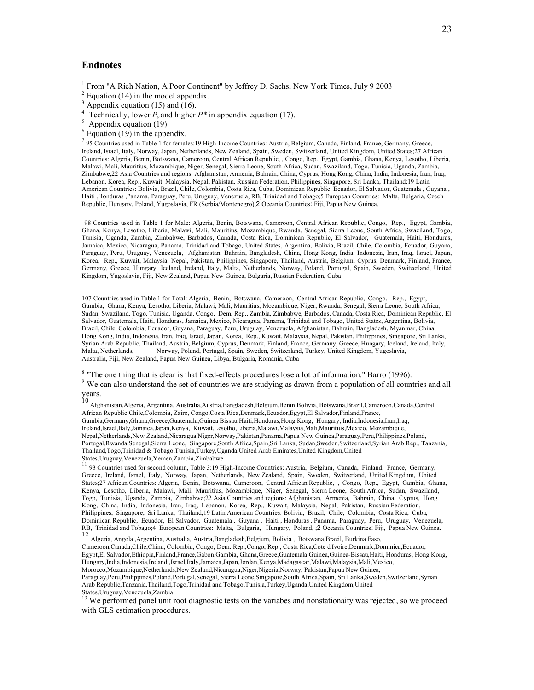#### **Endnotes**

- <sup>1</sup> From "A Rich Nation, A Poor Continent" by Jeffrey D. Sachs, New York Times, July 9 2003
- $2$  Equation (14) in the model appendix.
- $3$  Appendix equation (15) and (16).
- <sup>4</sup> Technically, lower  $P_y$  and higher  $P^*$  in appendix equation (17).
- $5$  Appendix equation (19).
- $6$  Equation (19) in the appendix.

7 95 Countries used in Table 1 for females:19 High-Income Countries: Austria, Belgium, Canada, Finland, France, Germany, Greece, Ireland, Israel, Italy, Norway, Japan, Netherlands, New Zealand, Spain, Sweden, Switzerland, United Kingdom, United States;27 African Countries: Algeria, Benin, Botswana, Cameroon, Central African Republic, , Congo, Rep., Egypt, Gambia, Ghana, Kenya, Lesotho, Liberia, Malawi, Mali, Mauritius, Mozambique, Niger, Senegal, Sierra Leone, South Africa, Sudan, Swaziland, Togo, Tunisia, Uganda, Zambia, Zimbabwe;22 Asia Countries and regions: Afghanistan, Armenia, Bahrain, China, Cyprus, Hong Kong, China, India, Indonesia, Iran, Iraq, Lebanon, Korea, Rep., Kuwait, Malaysia, Nepal, Pakistan, Russian Federation, Philippines, Singapore, Sri Lanka, Thailand;19 Latin American Countries: Bolivia, Brazil, Chile, Colombia, Costa Rica, Cuba, Dominican Republic, Ecuador, El Salvador, Guatemala , Guyana , Haiti ,Honduras ,Panama, Paraguay, Peru, Uruguay, Venezuela, RB, Trinidad and Tobago;5 European Countries: Malta, Bulgaria, Czech Republic, Hungary, Poland, Yugoslavia, FR (Serbia/Montenegro);2 Oceania Countries: Fiji, Papua New Guinea.

98 Countries used in Table 1 for Male: Algeria, Benin, Botswana, Cameroon, Central African Republic, Congo, Rep., Egypt, Gambia, Ghana, Kenya, Lesotho, Liberia, Malawi, Mali, Mauritius, Mozambique, Rwanda, Senegal, Sierra Leone, South Africa, Swaziland, Togo, Tunisia, Uganda, Zambia, Zimbabwe, Barbados, Canada, Costa Rica, Dominican Republic, El Salvador, Guatemala, Haiti, Honduras, Jamaica, Mexico, Nicaragua, Panama, Trinidad and Tobago, United States, Argentina, Bolivia, Brazil, Chile, Colombia, Ecuador, Guyana, Paraguay, Peru, Uruguay, Venezuela, Afghanistan, Bahrain, Bangladesh, China, Hong Kong, India, Indonesia, Iran, Iraq, Israel, Japan, Korea, Rep., Kuwait, Malaysia, Nepal, Pakistan, Philippines, Singapore, Thailand, Austria, Belgium, Cyprus, Denmark, Finland, France, Germany, Greece, Hungary, Iceland, Ireland, Italy, Malta, Netherlands, Norway, Poland, Portugal, Spain, Sweden, Switzerland, United Kingdom, Yugoslavia, Fiji, New Zealand, Papua New Guinea, Bulgaria, Russian Federation, Cuba

107 Countries used in Table 1 for Total: Algeria, Benin, Botswana, Cameroon, Central African Republic, Congo, Rep., Egypt, Gambia, Ghana, Kenya, Lesotho, Liberia, Malawi, Mali, Mauritius, Mozambique, Niger, Rwanda, Senegal, Sierra Leone, South Africa, Sudan, Swaziland, Togo, Tunisia, Uganda, Congo, Dem. Rep., Zambia, Zimbabwe, Barbados, Canada, Costa Rica, Dominican Republic, El Salvador, Guatemala, Haiti, Honduras, Jamaica, Mexico, Nicaragua, Panama, Trinidad and Tobago, United States, Argentina, Bolivia, Brazil, Chile, Colombia, Ecuador, Guyana, Paraguay, Peru, Uruguay, Venezuela, Afghanistan, Bahrain, Bangladesh, Myanmar, China, Hong Kong, India, Indonesia, Iran, Iraq, Israel, Japan, Korea, Rep., Kuwait, Malaysia, Nepal, Pakistan, Philippines, Singapore, Sri Lanka, Syrian Arab Republic, Thailand, Austria, Belgium, Cyprus, Denmark, Finland, France, Germany, Greece, Hungary, Iceland, Ireland, Italy, Malta, Netherlands, Norway, Poland, Portugal, Spain, Sweden, Switzerland, Turkey, United Kingdom, Yugoslavia, Australia, Fiji, New Zealand, Papua New Guinea, Libya, Bulgaria, Romania, Cuba

<sup>8</sup> "The one thing that is clear is that fixed-effects procedures lose a lot of information." Barro (1996). <sup>9</sup> We can also understand the set of countries we are studying as drawn from a population of all countries and all years. 10 Afghanistan,Algeria, Argentina, Australia,Austria,Bangladesh,Belgium,Benin,Bolivia, Botswana,Brazil,Cameroon,Canada,Central

African Republic,Chile,Colombia, Zaire, Congo,Costa Rica,Denmark,Ecuador,Egypt,El Salvador,Finland,France, Gambia,Germany,Ghana,Greece,Guatemala,Guinea Bissau,Haiti,Honduras,Hong Kong, Hungary, India,Indonesia,Iran,Iraq, Ireland,Israel,Italy,Jamaica,Japan,Kenya, Kuwait,Lesotho,Liberia,Malawi,Malaysia,Mali,Mauritius,Mexico, Mozambique, Nepal,Netherlands,New Zealand,Nicaragua,Niger,Norway,Pakistan,Panama,Papua New Guinea,Paraguay,Peru,Philippines,Poland, Portugal,Rwanda,Senegal,Sierra Leone, Singapore,South Africa,Spain,Sri Lanka, Sudan,Sweden,Switzerland,Syrian Arab Rep., Tanzania, Thailand,Togo,Trinidad & Tobago,Tunisia,Turkey,Uganda,United Arab Emirates,United Kingdom,United States,Uruguay,Venezuela,Yemen,Zambia,Zimbabwe

<sup>11</sup> 93 Countries used for second column, Table 3:19 High-Income Countries: Austria, Belgium, Canada, Finland, France, Germany, Greece, Ireland, Israel, Italy, Norway, Japan, Netherlands, New Zealand, Spain, Sweden, Switzerland, United Kingdom, United States;27 African Countries: Algeria, Benin, Botswana, Cameroon, Central African Republic, , Congo, Rep., Egypt, Gambia, Ghana, Kenya, Lesotho, Liberia, Malawi, Mali, Mauritius, Mozambique, Niger, Senegal, Sierra Leone, South Africa, Sudan, Swaziland, Togo, Tunisia, Uganda, Zambia, Zimbabwe;22 Asia Countries and regions: Afghanistan, Armenia, Bahrain, China, Cyprus, Hong Kong, China, India, Indonesia, Iran, Iraq, Lebanon, Korea, Rep., Kuwait, Malaysia, Nepal, Pakistan, Russian Federation, Philippines, Singapore, Sri Lanka, Thailand;19 Latin American Countries: Bolivia, Brazil, Chile, Colombia, Costa Rica, Cuba, Dominican Republic, Ecuador, El Salvador, Guatemala , Guyana , Haiti , Honduras , Panama, Paraguay, Peru, Uruguay, Venezuela, RB, Trinidad and Tobago;4 European Countries: Malta, Bulgaria, Hungary, Poland, ;2 Oceania Countries: Fiji, Papua New Guinea.

12 Algeria, Angola ,Argentina, Australia, Austria,Bangladesh,Belgium, Bolivia , Botswana,Brazil, Burkina Faso, Cameroon,Canada,Chile,China, Colombia, Congo, Dem. Rep.,Congo, Rep., Costa Rica,Cote d'Ivoire,Denmark,Dominica,Ecuador, Egypt,El Salvador,Ethiopia,Finland,France,Gabon,Gambia, Ghana,Greece,Guatemala Guinea,Guinea-Bissau,Haiti, Honduras, Hong Kong, Hungary,India,Indonesia,Ireland ,Israel,Italy,Jamaica,Japan,Jordan,Kenya,Madagascar,Malawi,Malaysia,Mali,Mexico, Morocco,Mozambique,Netherlands,New Zealand,Nicaragua,Niger,Nigeria,Norway, Pakistan,Papua New Guinea, Paraguay,Peru,Philippines,Poland,Portugal,Senegal, Sierra Leone,Singapore,South Africa,Spain, Sri Lanka,Sweden,Switzerland,Syrian Arab Republic,Tanzania,Thailand,Togo,Trinidad and Tobago,Tunisia,Turkey,Uganda,United Kingdom,United

States,Uruguay,Venezuela,Zambia.<br><sup>13</sup> We performed panel unit root diagnostic tests on the variabes and nonstationaity was rejected, so we proceed with GLS estimation procedures.